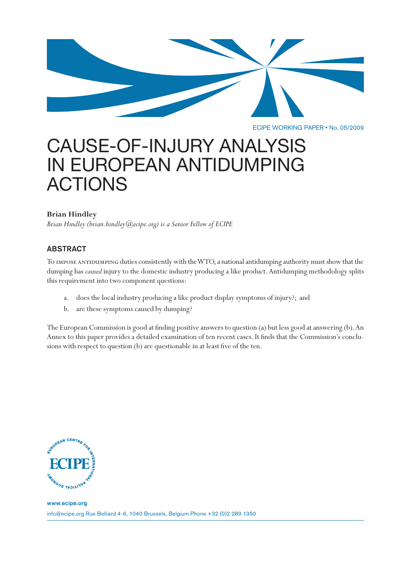

ECIPE WORKING PAPER • No. 05/2009

# CAUSE-OF-INJURY ANALYSIS IN EUROPEAN ANTIDUMPING ACTIONS

# **Brian Hindley**

*Brian Hindley (brian.hindley@ecipe.org) is a Senior Fellow of ECIPE*

# ABSTRACT

To impose antidumping duties consistently with the WTO, a national antidumping authority must show that the dumping has *caused* injury to the domestic industry producing a like product. Antidumping methodology splits this requirement into two component questions:

- a. does the local industry producing a like product display symptoms of injury?; and
- b. are these symptoms caused by dumping?

The European Commission is good at finding positive answers to question (a) but less good at answering (b). An Annex to this paper provides a detailed examination of ten recent cases. It finds that the Commission's conclusions with respect to question (b) are questionable in at least five of the ten.

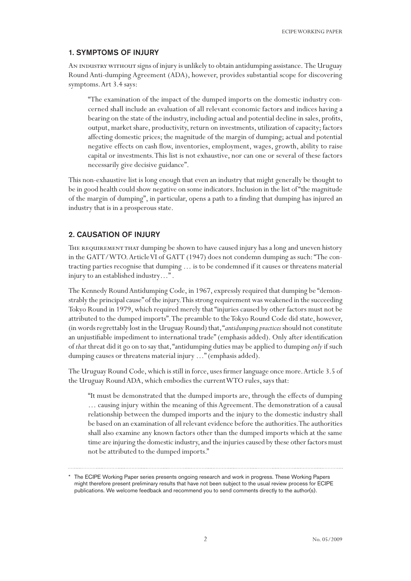# 1. SYMPTOMS OF INJURY

AN INDUSTRY WITHOUT signs of injury is unlikely to obtain antidumping assistance. The Uruguay Round Anti-dumping Agreement (ADA), however, provides substantial scope for discovering symptoms. Art 3.4 says:

"The examination of the impact of the dumped imports on the domestic industry concerned shall include an evaluation of all relevant economic factors and indices having a bearing on the state of the industry, including actual and potential decline in sales, profits, output, market share, productivity, return on investments, utilization of capacity; factors affecting domestic prices; the magnitude of the margin of dumping; actual and potential negative effects on cash flow, inventories, employment, wages, growth, ability to raise capital or investments. This list is not exhaustive, nor can one or several of these factors necessarily give decisive guidance".

This non-exhaustive list is long enough that even an industry that might generally be thought to be in good health could show negative on some indicators. Inclusion in the list of "the magnitude of the margin of dumping", in particular, opens a path to a finding that dumping has injured an industry that is in a prosperous state.

# 2. CAUSATION OF INJURY

The requirement that dumping be shown to have caused injury has a long and uneven history in the GATT/WTO. Article VI of GATT (1947) does not condemn dumping as such: "The contracting parties recognise that dumping … is to be condemned if it causes or threatens material injury to an established industry…" .

The Kennedy Round Antidumping Code, in 1967, expressly required that dumping be "demonstrably the principal cause" of the injury. This strong requirement was weakened in the succeeding Tokyo Round in 1979, which required merely that "injuries caused by other factors must not be attributed to the dumped imports". The preamble to the Tokyo Round Code did state, however, (in words regrettably lost in the Uruguay Round) that, "*antidumping practices* should not constitute an unjustifiable impediment to international trade" (emphasis added). Only after identification of *that* threat did it go on to say that, "antidumping duties may be applied to dumping *only* if such dumping causes or threatens material injury …" (emphasis added).

The Uruguay Round Code, which is still in force, uses firmer language once more. Article 3.5 of the Uruguay Round ADA, which embodies the current WTO rules, says that:

"It must be demonstrated that the dumped imports are, through the effects of dumping … causing injury within the meaning of this Agreement. The demonstration of a causal relationship between the dumped imports and the injury to the domestic industry shall be based on an examination of all relevant evidence before the authorities. The authorities shall also examine any known factors other than the dumped imports which at the same time are injuring the domestic industry, and the injuries caused by these other factors must not be attributed to the dumped imports."

The ECIPE Working Paper series presents ongoing research and work in progress. These Working Papers might therefore present preliminary results that have not been subject to the usual review process for ECIPE publications. We welcome feedback and recommend you to send comments directly to the author(s).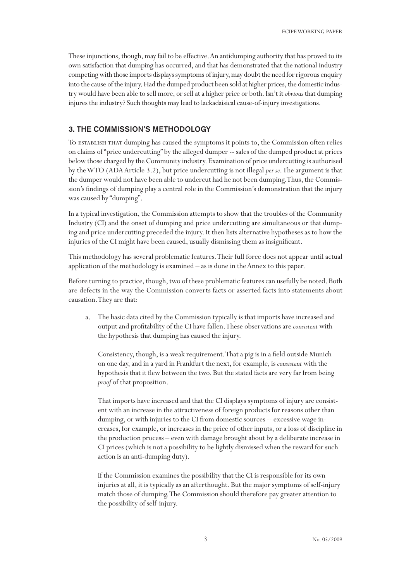These injunctions, though, may fail to be effective. An antidumping authority that has proved to its own satisfaction that dumping has occurred, and that has demonstrated that the national industry competing with those imports displays symptoms of injury, may doubt the need for rigorous enquiry into the cause of the injury. Had the dumped product been sold at higher prices, the domestic industry would have been able to sell more, or sell at a higher price or both. Isn't it *obvious* that dumping injures the industry? Such thoughts may lead to lackadaisical cause-of-injury investigations.

#### 3. THE COMMISSION'S METHODOLOGY

To establish that dumping has caused the symptoms it points to, the Commission often relies on claims of "price undercutting" by the alleged dumper -- sales of the dumped product at prices below those charged by the Community industry. Examination of price undercutting is authorised by the WTO (ADA Article 3.2), but price undercutting is not illegal *per se*. The argument is that the dumper would not have been able to undercut had he not been dumping. Thus, the Commission's findings of dumping play a central role in the Commission's demonstration that the injury was caused by "dumping".

In a typical investigation, the Commission attempts to show that the troubles of the Community Industry (CI) and the onset of dumping and price undercutting are simultaneous or that dumping and price undercutting preceded the injury. It then lists alternative hypotheses as to how the injuries of the CI might have been caused, usually dismissing them as insignificant.

This methodology has several problematic features. Their full force does not appear until actual application of the methodology is examined – as is done in the Annex to this paper.

Before turning to practice, though, two of these problematic features can usefully be noted. Both are defects in the way the Commission converts facts or asserted facts into statements about causation. They are that:

The basic data cited by the Commission typically is that imports have increased and output and profitability of the CI have fallen. These observations are *consistent* with the hypothesis that dumping has caused the injury.

Consistency, though, is a weak requirement. That a pig is in a field outside Munich on one day, and in a yard in Frankfurt the next, for example, is *consistent* with the hypothesis that it flew between the two. But the stated facts are very far from being *proof* of that proposition.

That imports have increased and that the CI displays symptoms of injury are consistent with an increase in the attractiveness of foreign products for reasons other than dumping, or with injuries to the CI from domestic sources -- excessive wage increases, for example, or increases in the price of other inputs, or a loss of discipline in the production process – even with damage brought about by a deliberate increase in CI prices (which is not a possibility to be lightly dismissed when the reward for such action is an anti-dumping duty).

If the Commission examines the possibility that the CI is responsible for its own injuries at all, it is typically as an afterthought. But the major symptoms of self-injury match those of dumping. The Commission should therefore pay greater attention to the possibility of self-injury.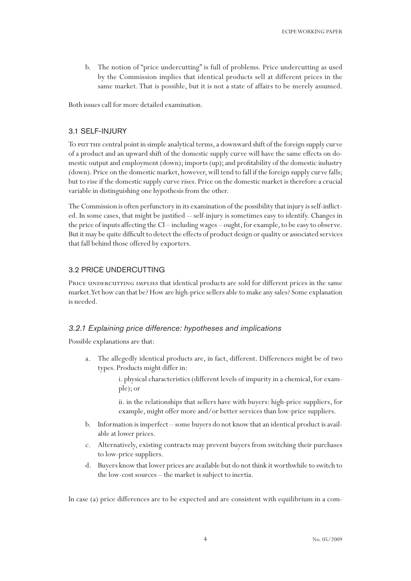b. The notion of "price undercutting" is full of problems. Price undercutting as used by the Commission implies that identical products sell at different prices in the same market. That is possible, but it is not a state of affairs to be merely assumed.

Both issues call for more detailed examination.

# 3.1 SELF-INJURY

To put the central point in simple analytical terms, a downward shift of the foreign supply curve of a product and an upward shift of the domestic supply curve will have the same effects on domestic output and employment (down); imports (up); and profitability of the domestic industry (down). Price on the domestic market, however, will tend to fall if the foreign supply curve falls; but to rise if the domestic supply curve rises. Price on the domestic market is therefore a crucial variable in distinguishing one hypothesis from the other.

The Commission is often perfunctory in its examination of the possibility that injury is self-inflicted. In some cases, that might be justified -- self-injury is sometimes easy to identify. Changes in the price of inputs affecting the CI – including wages – ought, for example, to be easy to observe. But it may be quite difficult to detect the effects of product design or quality or associated services that fall behind those offered by exporters.

# 3.2 PRICE UNDERCUTTING

PRICE UNDERCUTTING IMPLIES that identical products are sold for different prices in the same market. Yet how can that be? How are high-price sellers able to make any sales? Some explanation is needed.

# *3.2.1 Explaining price difference: hypotheses and implications*

Possible explanations are that:

- a. The allegedly identical products are, in fact, different. Differences might be of two types. Products might differ in:
	- i. physical characteristics (different levels of impurity in a chemical, for example); or

ii. in the relationships that sellers have with buyers: high-price suppliers, for example, might offer more and/or better services than low-price suppliers.

- b. Information is imperfect some buyers do not know that an identical product is available at lower prices.
- c. Alternatively, existing contracts may prevent buyers from switching their purchases to low-price suppliers.
- d. Buyers know that lower prices are available but do not think it worthwhile to switch to the low-cost sources – the market is subject to inertia.

In case (a) price differences are to be expected and are consistent with equilibrium in a com-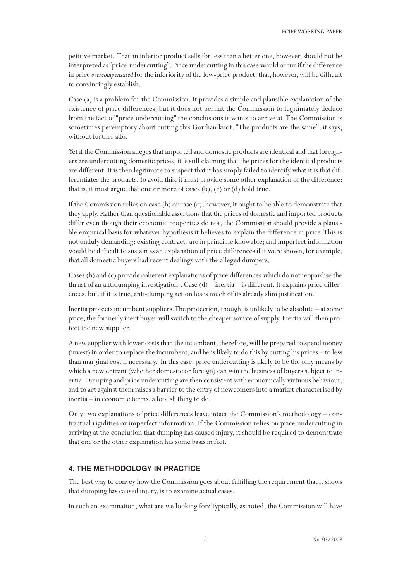petitive market. That an inferior product sells for less than a better one, however, should not be interpreted as "price-undercutting". Price undercutting in this case would occur if the difference in price *overcompensated* for the inferiority of the low-price product: that, however, will be difficult to convincingly establish.

Case (a) is a problem for the Commission. It provides a simple and plausible explanation of the existence of price differences, but it does not permit the Commission to legitimately deduce from the fact of "price undercutting" the conclusions it wants to arrive at. The Commission is sometimes peremptory about cutting this Gordian knot. "The products are the same", it says, without further ado.

Yet if the Commission alleges that imported and domestic products are identical and that foreigners are undercutting domestic prices, it is still claiming that the prices for the identical products are different. It is then legitimate to suspect that it has simply failed to identify what it is that differentiates the products. To avoid this, it must provide some other explanation of the difference: that is, it must argue that one or more of cases  $(b)$ ,  $(c)$  or  $(d)$  hold true.

If the Commission relies on case (b) or case (c), however, it ought to be able to demonstrate that they apply. Rather than questionable assertions that the prices of domestic and imported products differ even though their economic properties do not, the Commission should provide a plausible empirical basis for whatever hypothesis it believes to explain the difference in price. This is not unduly demanding: existing contracts are in principle knowable; and imperfect information would be difficult to sustain as an explanation of price differences if it were shown, for example, that all domestic buyers had recent dealings with the alleged dumpers.

Cases (b) and (c) provide coherent explanations of price differences which do not jeopardise the thrust of an antidumping investigation<sup>1</sup>. Case  $(d)$  – inertia – is different. It explains price differences, but, if it is true, anti-dumping action loses much of its already slim justification.

Inertia protects incumbent suppliers. The protection, though, is unlikely to be absolute – at some price, the formerly inert buyer will switch to the cheaper source of supply. Inertia will then protect the new supplier.

A new supplier with lower costs than the incumbent, therefore, will be prepared to spend money (invest) in order to replace the incumbent, and he is likely to do this by cutting his prices – to less than marginal cost if necessary. In this case, price undercutting is likely to be the only means by which a new entrant (whether domestic or foreign) can win the business of buyers subject to inertia. Dumping and price undercutting are then consistent with economically virtuous behaviour; and to act against them raises a barrier to the entry of newcomers into a market characterised by inertia – in economic terms, a foolish thing to do.

Only two explanations of price differences leave intact the Commission's methodology – contractual rigidities or imperfect information. If the Commission relies on price undercutting in arriving at the conclusion that dumping has caused injury, it should be required to demonstrate that one or the other explanation has some basis in fact.

# 4. THE METHODOLOGY IN PRACTICE

The best way to convey how the Commission goes about fulfilling the requirement that it shows that dumping has caused injury, is to examine actual cases.

In such an examination, what are we looking for? Typically, as noted, the Commission will have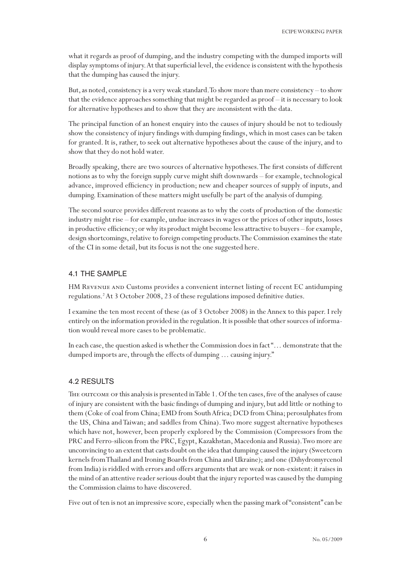what it regards as proof of dumping, and the industry competing with the dumped imports will display symptoms of injury. At that superficial level, the evidence is consistent with the hypothesis that the dumping has caused the injury.

But, as noted, consistency is a very weak standard. To show more than mere consistency – to show that the evidence approaches something that might be regarded as proof – it is necessary to look for alternative hypotheses and to show that they are *in*consistent with the data.

The principal function of an honest enquiry into the causes of injury should be not to tediously show the consistency of injury findings with dumping findings, which in most cases can be taken for granted. It is, rather, to seek out alternative hypotheses about the cause of the injury, and to show that they do not hold water.

Broadly speaking, there are two sources of alternative hypotheses. The first consists of different notions as to why the foreign supply curve might shift downwards – for example, technological advance, improved efficiency in production; new and cheaper sources of supply of inputs, and dumping. Examination of these matters might usefully be part of the analysis of dumping.

The second source provides different reasons as to why the costs of production of the domestic industry might rise – for example, undue increases in wages or the prices of other inputs, losses in productive efficiency; or why its product might become less attractive to buyers – for example, design shortcomings, relative to foreign competing products. The Commission examines the state of the CI in some detail, but its focus is not the one suggested here.

# 4.1 THE SAMPLE

HM Revenue and Customs provides a convenient internet listing of recent EC antidumping regulations.2 At 3 October 2008, 23 of these regulations imposed definitive duties.

I examine the ten most recent of these (as of 3 October 2008) in the Annex to this paper. I rely entirely on the information provided in the regulation. It is possible that other sources of information would reveal more cases to be problematic.

In each case, the question asked is whether the Commission does in fact "… demonstrate that the dumped imports are, through the effects of dumping … causing injury."

## 4.2 RESULTS

The outcome of this analysis is presented in Table 1. Of the ten cases, five of the analyses of cause of injury are consistent with the basic findings of dumping and injury, but add little or nothing to them (Coke of coal from China; EMD from South Africa; DCD from China; perosulphates from the US, China and Taiwan; and saddles from China). Two more suggest alternative hypotheses which have not, however, been properly explored by the Commission (Compressors from the PRC and Ferro-silicon from the PRC, Egypt, Kazakhstan, Macedonia and Russia). Two more are unconvincing to an extent that casts doubt on the idea that dumping caused the injury (Sweetcorn kernels from Thailand and Ironing Boards from China and Ukraine); and one (Dihydromyrcenol from India) is riddled with errors and offers arguments that are weak or non-existent: it raises in the mind of an attentive reader serious doubt that the injury reported was caused by the dumping the Commission claims to have discovered.

Five out of ten is not an impressive score, especially when the passing mark of "consistent" can be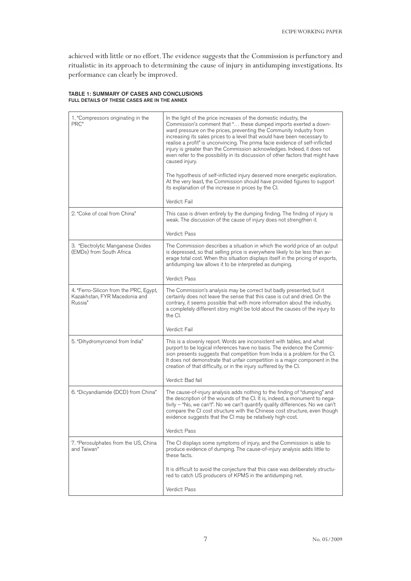achieved with little or no effort. The evidence suggests that the Commission is perfunctory and ritualistic in its approach to determining the cause of injury in antidumping investigations. Its performance can clearly be improved.

#### TABLE 1: SUMMARY OF CASES AND CONCLUSIONS FULL DETAILS OF THESE CASES ARE IN THE ANNEX

| 1. "Compressors originating in the<br>PRC"                                         | In the light of the price increases of the domestic industry, the<br>Commission's comment that " these dumped imports exerted a down-<br>ward pressure on the prices, preventing the Community industry from<br>increasing its sales prices to a level that would have been necessary to<br>realise a profit" is unconvincing. The prima facie evidence of self-inflicted<br>injury is greater than the Commission acknowledges. Indeed, it does not<br>even refer to the possibility in its discussion of other factors that might have<br>caused injury.<br>The hypothesis of self-inflicted injury deserved more energetic exploration.<br>At the very least, the Commission should have provided figures to support<br>its explanation of the increase in prices by the Cl.<br>Verdict: Fail |
|------------------------------------------------------------------------------------|--------------------------------------------------------------------------------------------------------------------------------------------------------------------------------------------------------------------------------------------------------------------------------------------------------------------------------------------------------------------------------------------------------------------------------------------------------------------------------------------------------------------------------------------------------------------------------------------------------------------------------------------------------------------------------------------------------------------------------------------------------------------------------------------------|
| 2. "Coke of coal from China"                                                       | This case is driven entirely by the dumping finding. The finding of injury is<br>weak. The discussion of the cause of injury does not strengthen it.<br>Verdict: Pass                                                                                                                                                                                                                                                                                                                                                                                                                                                                                                                                                                                                                            |
| 3. "Electrolytic Manganese Oxides<br>(EMDs) from South Africa                      | The Commission describes a situation in which the world price of an output<br>is depressed, so that selling price is everywhere likely to be less than av-<br>erage total cost. When this situation displays itself in the pricing of exports,<br>antidumping law allows it to be interpreted as dumping.<br>Verdict: Pass                                                                                                                                                                                                                                                                                                                                                                                                                                                                       |
| 4. "Ferro-Silicon from the PRC, Egypt,<br>Kazakhstan, FYR Macedonia and<br>Russia" | The Commission's analysis may be correct but badly presented; but it<br>certainly does not leave the sense that this case is cut and dried. On the<br>contrary, it seems possible that with more information about the industry,<br>a completely different story might be told about the causes of the injury to<br>the CI.<br>Verdict: Fail                                                                                                                                                                                                                                                                                                                                                                                                                                                     |
| 5. "Dihydromyrcenol from India"                                                    | This is a slovenly report. Words are inconsistent with tables, and what<br>purport to be logical inferences have no basis. The evidence the Commis-<br>sion presents suggests that competition from India is a problem for the CI.<br>It does not demonstrate that unfair competition is a major component in the<br>creation of that difficulty, or in the injury suffered by the CI.<br>Verdict: Bad fail                                                                                                                                                                                                                                                                                                                                                                                      |
| 6. "Dicyandiamide (DCD) from China"                                                | The cause-of-injury analysis adds nothing to the finding of "dumping" and<br>the description of the wounds of the CI. It is, indeed, a monument to nega-<br>tivity - "No, we can't". No we can't quantify quality differences. No we can't<br>compare the CI cost structure with the Chinese cost structure, even though<br>evidence suggests that the CI may be relatively high-cost.<br>Verdict: Pass                                                                                                                                                                                                                                                                                                                                                                                          |
| 7. "Perosulphates from the US, China<br>and Taiwan"                                | The CI displays some symptoms of injury, and the Commission is able to<br>produce evidence of dumping. The cause-of-injury analysis adds little to<br>these facts.<br>It is difficult to avoid the conjecture that this case was deliberately structu-<br>red to catch US producers of KPMS in the antidumping net.<br>Verdict: Pass                                                                                                                                                                                                                                                                                                                                                                                                                                                             |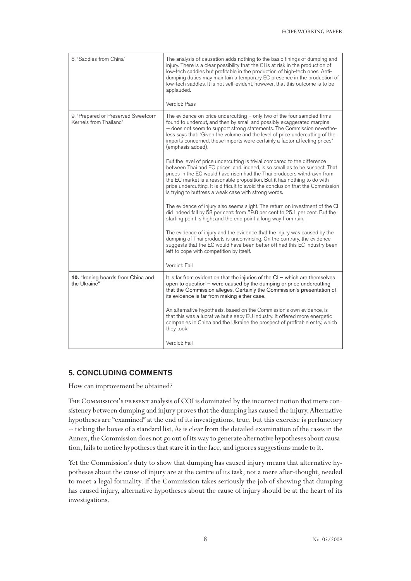| 8. "Saddles from China"                                       | The analysis of causation adds nothing to the basic finings of dumping and<br>injury. There is a clear possibility that the CI is at risk in the production of<br>low-tech saddles but profitable in the production of high-tech ones. Anti-<br>dumping duties may maintain a temporary EC presence in the production of<br>low-tech saddles. It is not self-evident, however, that this outcome is to be<br>applauded.<br>Verdict: Pass                   |
|---------------------------------------------------------------|------------------------------------------------------------------------------------------------------------------------------------------------------------------------------------------------------------------------------------------------------------------------------------------------------------------------------------------------------------------------------------------------------------------------------------------------------------|
| 9. "Prepared or Preserved Sweetcorn<br>Kernels from Thailand" | The evidence on price undercutting $-$ only two of the four sampled firms<br>found to undercut, and then by small and possibly exaggerated margins<br>-- does not seem to support strong statements. The Commission neverthe-<br>less says that: "Given the volume and the level of price undercutting of the<br>imports concerned, these imports were certainly a factor affecting prices"<br>(emphasis added).                                           |
|                                                               | But the level of price undercutting is trivial compared to the difference<br>between Thai and EC prices, and, indeed, is so small as to be suspect. That<br>prices in the EC would have risen had the Thai producers withdrawn from<br>the EC market is a reasonable proposition. But it has nothing to do with<br>price undercutting. It is difficult to avoid the conclusion that the Commission<br>is trying to buttress a weak case with strong words. |
|                                                               | The evidence of injury also seems slight. The return on investment of the CI<br>did indeed fall by 58 per cent: from 59.8 per cent to 25.1 per cent. But the<br>starting point is high; and the end point a long way from ruin.                                                                                                                                                                                                                            |
|                                                               | The evidence of injury and the evidence that the injury was caused by the<br>dumping of Thai products is unconvincing. On the contrary, the evidence<br>suggests that the EC would have been better off had this EC industry been<br>left to cope with competition by itself.                                                                                                                                                                              |
|                                                               | Verdict: Fail                                                                                                                                                                                                                                                                                                                                                                                                                                              |
| 10. "Ironing boards from China and<br>the Ukraine"            | It is far from evident on that the injuries of the $Cl$ – which are themselves<br>open to question $-$ were caused by the dumping or price undercutting<br>that the Commission alleges. Certainly the Commission's presentation of<br>its evidence is far from making either case.                                                                                                                                                                         |
|                                                               | An alternative hypothesis, based on the Commission's own evidence, is<br>that this was a lucrative but sleepy EU industry. It offered more energetic<br>companies in China and the Ukraine the prospect of profitable entry, which<br>they took.                                                                                                                                                                                                           |
|                                                               | Verdict: Fail                                                                                                                                                                                                                                                                                                                                                                                                                                              |

# 5. CONCLUDING COMMENTS

How can improvement be obtained?

The Commission's present analysis of COI is dominated by the incorrect notion that mere consistency between dumping and injury proves that the dumping has caused the injury. Alternative hypotheses are "examined" at the end of its investigations, true, but this exercise is perfunctory -- ticking the boxes of a standard list. As is clear from the detailed examination of the cases in the Annex, the Commission does not go out of its way to generate alternative hypotheses about causation, fails to notice hypotheses that stare it in the face, and ignores suggestions made to it.

Yet the Commission's duty to show that dumping has caused injury means that alternative hypotheses about the cause of injury are at the centre of its task, not a mere after-thought, needed to meet a legal formality. If the Commission takes seriously the job of showing that dumping has caused injury, alternative hypotheses about the cause of injury should be at the heart of its investigations.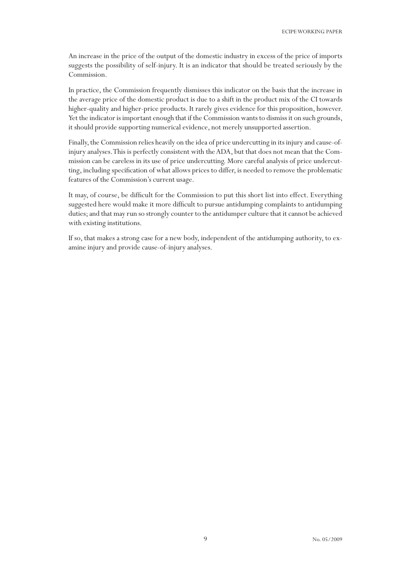An increase in the price of the output of the domestic industry in excess of the price of imports suggests the possibility of self-injury. It is an indicator that should be treated seriously by the Commission.

In practice, the Commission frequently dismisses this indicator on the basis that the increase in the average price of the domestic product is due to a shift in the product mix of the CI towards higher-quality and higher-price products. It rarely gives evidence for this proposition, however. Yet the indicator is important enough that if the Commission wants to dismiss it on such grounds, it should provide supporting numerical evidence, not merely unsupported assertion.

Finally, the Commission relies heavily on the idea of price undercutting in its injury and cause-ofinjury analyses. This is perfectly consistent with the ADA, but that does not mean that the Commission can be careless in its use of price undercutting. More careful analysis of price undercutting, including specification of what allows prices to differ, is needed to remove the problematic features of the Commission's current usage.

It may, of course, be difficult for the Commission to put this short list into effect. Everything suggested here would make it more difficult to pursue antidumping complaints to antidumping duties; and that may run so strongly counter to the antidumper culture that it cannot be achieved with existing institutions.

If so, that makes a strong case for a new body, independent of the antidumping authority, to examine injury and provide cause-of-injury analyses.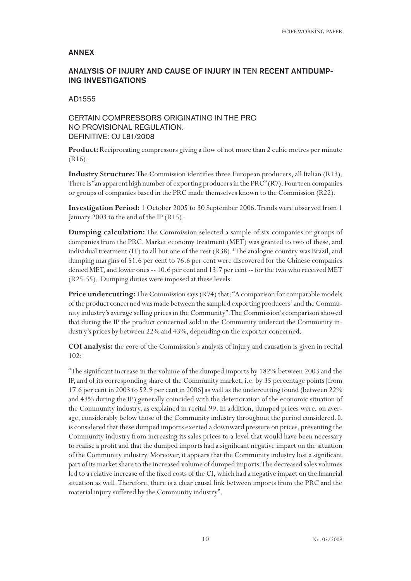#### ANNEX

# ANALYSIS OF INJURY AND CAUSE OF INJURY IN TEN RECENT ANTIDUMP-ING INVESTIGATIONS

AD1555

# CERTAIN COMPRESSORS ORIGINATING IN THE PRC NO PROVISIONAL REGULATION. DEFINITIVE: OJ L81/2008

**Product:** Reciprocating compressors giving a flow of not more than 2 cubic metres per minute (R16).

**Industry Structure:** The Commission identifies three European producers, all Italian (R13). There is "an apparent high number of exporting producers in the PRC" (R7). Fourteen companies or groups of companies based in the PRC made themselves known to the Commission (R22).

**Investigation Period:** 1 October 2005 to 30 September 2006. Trends were observed from 1 January 2003 to the end of the IP (R15).

**Dumping calculation:** The Commission selected a sample of six companies or groups of companies from the PRC. Market economy treatment (MET) was granted to two of these, and individual treatment (IT) to all but one of the rest (R38).<sup>3</sup>The analogue country was Brazil, and dumping margins of 51.6 per cent to 76.6 per cent were discovered for the Chinese companies denied MET, and lower ones -- 10.6 per cent and 13.7 per cent -- for the two who received MET (R25-55). Dumping duties were imposed at these levels.

Price undercutting: The Commission says (R74) that: "A comparison for comparable models of the product concerned was made between the sampled exporting producers' and the Community industry's average selling prices in the Community". The Commission's comparison showed that during the IP the product concerned sold in the Community undercut the Community industry's prices by between 22% and 43%, depending on the exporter concerned.

**COI analysis:** the core of the Commission's analysis of injury and causation is given in recital 102:

"The significant increase in the volume of the dumped imports by 182% between 2003 and the IP, and of its corresponding share of the Community market, i.e. by 35 percentage points [from 17.6 per cent in 2003 to 52.9 per cent in 2006] as well as the undercutting found (between 22% and 43% during the IP) generally coincided with the deterioration of the economic situation of the Community industry, as explained in recital 99. In addition, dumped prices were, on average, considerably below those of the Community industry throughout the period considered. It is considered that these dumped imports exerted a downward pressure on prices, preventing the Community industry from increasing its sales prices to a level that would have been necessary to realise a profit and that the dumped imports had a significant negative impact on the situation of the Community industry. Moreover, it appears that the Community industry lost a significant part of its market share to the increased volume of dumped imports. The decreased sales volumes led to a relative increase of the fixed costs of the CI, which had a negative impact on the financial situation as well. Therefore, there is a clear causal link between imports from the PRC and the material injury suffered by the Community industry".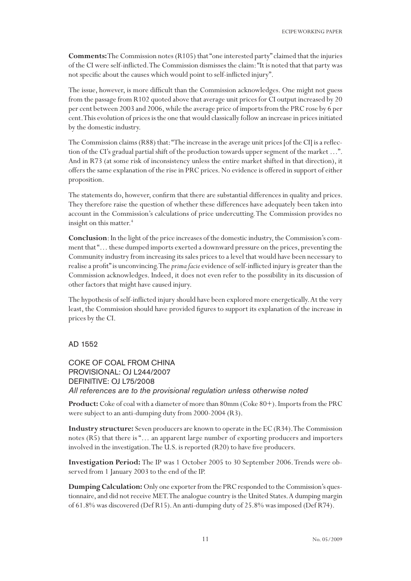**Comments:** The Commission notes (R105) that "one interested party" claimed that the injuries of the CI were self-inflicted. The Commission dismisses the claim: "It is noted that that party was not specific about the causes which would point to self-inflicted injury".

The issue, however, is more difficult than the Commission acknowledges. One might not guess from the passage from R102 quoted above that average unit prices for CI output increased by 20 per cent between 2003 and 2006, while the average price of imports from the PRC rose by 6 per cent. This evolution of prices is the one that would classically follow an increase in prices initiated by the domestic industry.

The Commission claims (R88) that: "The increase in the average unit prices [of the CI] is a reflection of the CI's gradual partial shift of the production towards upper segment of the market …". And in R73 (at some risk of inconsistency unless the entire market shifted in that direction), it offers the same explanation of the rise in PRC prices. No evidence is offered in support of either proposition.

The statements do, however, confirm that there are substantial differences in quality and prices. They therefore raise the question of whether these differences have adequately been taken into account in the Commission's calculations of price undercutting. The Commission provides no insight on this matter.<sup>4</sup>

**Conclusion**: In the light of the price increases of the domestic industry, the Commission's comment that "… these dumped imports exerted a downward pressure on the prices, preventing the Community industry from increasing its sales prices to a level that would have been necessary to realise a profit" is unconvincing. The *prima facie* evidence of self-inflicted injury is greater than the Commission acknowledges. Indeed, it does not even refer to the possibility in its discussion of other factors that might have caused injury.

The hypothesis of self-inflicted injury should have been explored more energetically. At the very least, the Commission should have provided figures to support its explanation of the increase in prices by the CI.

#### AD 1552

COKE OF COAL FROM CHINA PROVISIONAL: OJ L244/2007 DEFINITIVE: OJ L75/2008 *All references are to the provisional regulation unless otherwise noted*

**Product:** Coke of coal with a diameter of more than 80mm (Coke 80+). Imports from the PRC were subject to an anti-dumping duty from 2000-2004 (R3).

**Industry structure:** Seven producers are known to operate in the EC (R34). The Commission notes (R5) that there is "… an apparent large number of exporting producers and importers involved in the investigation. The U.S. is reported (R20) to have five producers.

**Investigation Period:** The IP was 1 October 2005 to 30 September 2006. Trends were observed from 1 January 2003 to the end of the IP.

**Dumping Calculation:** Only one exporter from the PRC responded to the Commission's questionnaire, and did not receive MET. The analogue country is the United States. A dumping margin of 61.8% was discovered (Def R15). An anti-dumping duty of 25.8% was imposed (Def R74).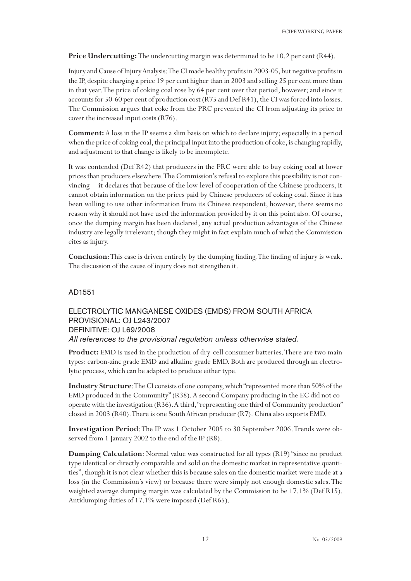**Price Undercutting:** The undercutting margin was determined to be 10.2 per cent (R44).

Injury and Cause of Injury Analysis: The CI made healthy profits in 2003-05, but negative profits in the IP, despite charging a price 19 per cent higher than in 2003 and selling 25 per cent more than in that year. The price of coking coal rose by 64 per cent over that period, however; and since it accounts for 50-60 per cent of production cost (R75 and Def R41), the CI was forced into losses. The Commission argues that coke from the PRC prevented the CI from adjusting its price to cover the increased input costs (R76).

**Comment:** A loss in the IP seems a slim basis on which to declare injury; especially in a period when the price of coking coal, the principal input into the production of coke, is changing rapidly, and adjustment to that change is likely to be incomplete.

It was contended (Def R42) that producers in the PRC were able to buy coking coal at lower prices than producers elsewhere. The Commission's refusal to explore this possibility is not convincing -- it declares that because of the low level of cooperation of the Chinese producers, it cannot obtain information on the prices paid by Chinese producers of coking coal. Since it has been willing to use other information from its Chinese respondent, however, there seems no reason why it should not have used the information provided by it on this point also. Of course, once the dumping margin has been declared, any actual production advantages of the Chinese industry are legally irrelevant; though they might in fact explain much of what the Commission cites as injury.

**Conclusion**: This case is driven entirely by the dumping finding. The finding of injury is weak. The discussion of the cause of injury does not strengthen it.

#### AD1551

# ELECTROLYTIC MANGANESE OXIDES (EMDS) FROM SOUTH AFRICA PROVISIONAL: OJ L243/2007 DEFINITIVE: OJ L69/2008 *All references to the provisional regulation unless otherwise stated.*

**Product:** EMD is used in the production of dry-cell consumer batteries. There are two main types: carbon-zinc grade EMD and alkaline grade EMD. Both are produced through an electrolytic process, which can be adapted to produce either type.

**Industry Structure**: The CI consists of one company, which "represented more than 50% of the EMD produced in the Community" (R38). A second Company producing in the EC did not cooperate with the investigation (R36). A third, "representing one third of Community production" closed in 2003 (R40). There is one South African producer (R7). China also exports EMD.

**Investigation Period**: The IP was 1 October 2005 to 30 September 2006. Trends were observed from 1 January 2002 to the end of the IP (R8).

**Dumping Calculation**: Normal value was constructed for all types (R19) "since no product type identical or directly comparable and sold on the domestic market in representative quantities", though it is not clear whether this is because sales on the domestic market were made at a loss (in the Commission's view) or because there were simply not enough domestic sales. The weighted average dumping margin was calculated by the Commission to be 17.1% (Def R15). Antidumping duties of 17.1% were imposed (Def R65).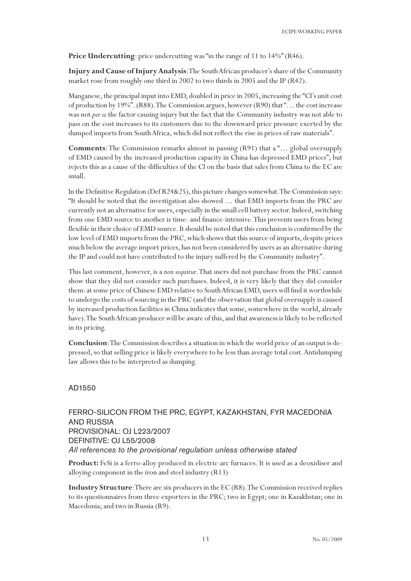**Price Undercutting**: price undercutting was "in the range of 11 to 14%" (R46).

**Injury and Cause of Injury Analysis**: The South African producer's share of the Community market rose from roughly one third in 2002 to two thirds in 2005 and the IP (R42).

Manganese, the principal input into EMD, doubled in price in 2005, increasing the "CI's unit cost of production by 19%". (R88). The Commission argues, however (R90) that "… the cost increase was not *per se* the factor causing injury but the fact that the Community industry was not able to pass on the cost increases to its customers due to the downward price pressure exerted by the dumped imports from South Africa, which did not reflect the rise in prices of raw materials".

**Comments**: The Commission remarks almost in passing (R91) that a "… global oversupply of EMD caused by the increased production capacity in China has depressed EMD prices"; but rejects this as a cause of the difficulties of the CI on the basis that sales from China to the EC are small.

In the Definitive Regulation (Def R24&25), this picture changes somewhat. The Commission says: "It should be noted that the investigation also showed … that EMD imports from the PRC are currently not an alternative for users, especially in the small cell battery sector. Indeed, switching from one EMD source to another is time- and finance-intensive. This prevents users from being flexible in their choice of EMD source. It should be noted that this conclusion is confirmed by the low level of EMD imports from the PRC, which shows that this source of imports, despite prices much below the average import prices, has not been considered by users as an alternative during the IP and could not have contributed to the injury suffered by the Community industry".

This last comment, however*,* is a *non sequitur*. That users did not purchase from the PRC cannot show that they did not consider such purchases. Indeed, it is very likely that they did consider them: at some price of Chinese EMD relative to South African EMD, users will find it worthwhile to undergo the costs of sourcing in the PRC (and the observation that global oversupply is caused by increased production facilities in China indicates that some, somewhere in the world, already have). The South African producer will be aware of this, and that awareness is likely to be reflected in its pricing.

**Conclusion**: The Commission describes a situation in which the world price of an output is depressed, so that selling price is likely everywhere to be less than average total cost. Antidumping law allows this to be interpreted as dumping.

## AD1550

# FERRO-SILICON FROM THE PRC, EGYPT, KAZAKHSTAN, FYR MACEDONIA AND RUSSIA PROVISIONAL: OJ L223/2007 DEFINITIVE: OJ L55/2008 *All references to the provisional regulation unless otherwise stated*

**Product:** FeSi is a ferro-alloy produced in electric-arc furnaces. It is used as a deoxidiser and alloying component in the iron and steel industry (R13)

**Industry Structure**: There are six producers in the EC (R8). The Commission received replies to its questionnaires from three exporters in the PRC; two in Egypt; one in Kazakhstan; one in Macedonia; and two in Russia (R9).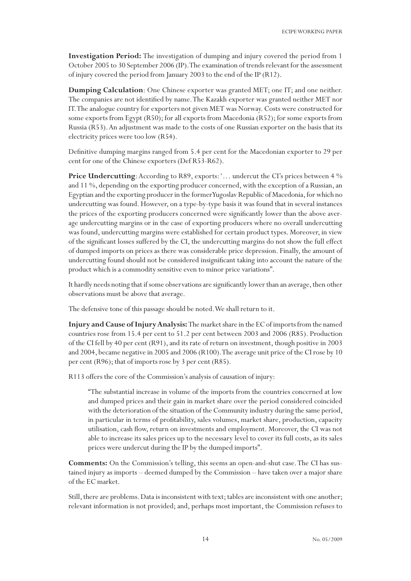**Investigation Period:** The investigation of dumping and injury covered the period from 1 October 2005 to 30 September 2006 (IP). The examination of trends relevant for the assessment of injury covered the period from January 2003 to the end of the IP (R12).

**Dumping Calculation**: One Chinese exporter was granted MET; one IT; and one neither. The companies are not identified by name. The Kazakh exporter was granted neither MET nor IT. The analogue country for exporters not given MET was Norway. Costs were constructed for some exports from Egypt (R50); for all exports from Macedonia (R52); for some exports from Russia (R53). An adjustment was made to the costs of one Russian exporter on the basis that its electricity prices were too low (R54).

Definitive dumping margins ranged from 5.4 per cent for the Macedonian exporter to 29 per cent for one of the Chinese exporters (Def R53-R62).

**Price Undercutting**: According to R89, exports: '... undercut the CI's prices between 4 % and 11 %, depending on the exporting producer concerned, with the exception of a Russian, an Egyptian and the exporting producer in the former Yugoslav Republic of Macedonia, for which no undercutting was found. However, on a type-by-type basis it was found that in several instances the prices of the exporting producers concerned were significantly lower than the above average undercutting margins or in the case of exporting producers where no overall undercutting was found, undercutting margins were established for certain product types. Moreover, in view of the significant losses suffered by the CI, the undercutting margins do not show the full effect of dumped imports on prices as there was considerable price depression. Finally, the amount of undercutting found should not be considered insignificant taking into account the nature of the product which is a commodity sensitive even to minor price variations".

It hardly needs noting that if some observations are significantly lower than an average, then other observations must be above that average.

The defensive tone of this passage should be noted. We shall return to it.

**Injury and Cause of Injury Analysis:** The market share in the EC of imports from the named countries rose from 15.4 per cent to 51.2 per cent between 2003 and 2006 (R85). Production of the CI fell by 40 per cent (R91), and its rate of return on investment, though positive in 2003 and 2004, became negative in 2005 and 2006 (R100). The average unit price of the CI rose by 10 per cent (R96); that of imports rose by 3 per cent (R85).

R113 offers the core of the Commission's analysis of causation of injury:

"The substantial increase in volume of the imports from the countries concerned at low and dumped prices and their gain in market share over the period considered coincided with the deterioration of the situation of the Community industry during the same period, in particular in terms of profitability, sales volumes, market share, production, capacity utilisation, cash flow, return on investments and employment. Moreover, the CI was not able to increase its sales prices up to the necessary level to cover its full costs, as its sales prices were undercut during the IP by the dumped imports".

**Comments:** On the Commission's telling, this seems an open-and-shut case. The CI has sustained injury as imports – deemed dumped by the Commission – have taken over a major share of the EC market.

Still, there are problems. Data is inconsistent with text; tables are inconsistent with one another; relevant information is not provided; and, perhaps most important, the Commission refuses to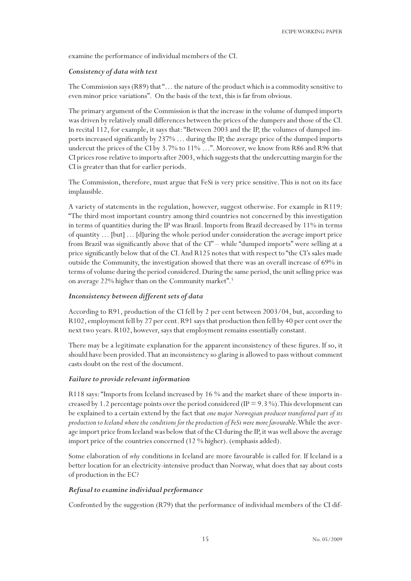examine the performance of individual members of the CI.

#### *Consistency of data with text*

The Commission says (R89) that "... the nature of the product which is a commodity sensitive to even minor price variations". On the basis of the text, this is far from obvious.

The primary argument of the Commission is that the increase in the volume of dumped imports was driven by relatively small differences between the prices of the dumpers and those of the CI. In recital 112, for example, it says that: "Between 2003 and the IP, the volumes of dumped imports increased significantly by 237% … during the IP, the average price of the dumped imports undercut the prices of the CI by 3.7% to 11% ...". Moreover, we know from R86 and R96 that CI prices rose relative to imports after 2003, which suggests that the undercutting margin for the CI is greater than that for earlier periods.

The Commission, therefore, must argue that FeSi is very price sensitive. This is not on its face implausible.

A variety of statements in the regulation, however, suggest otherwise. For example in R119: "The third most important country among third countries not concerned by this investigation in terms of quantities during the IP was Brazil. Imports from Brazil decreased by 11% in terms of quantity … [but] … [d]uring the whole period under consideration the average import price from Brazil was significantly above that of the CI" – while "dumped imports" were selling at a price significantly below that of the CI. And R125 notes that with respect to "the CI's sales made outside the Community, the investigation showed that there was an overall increase of 69% in terms of volume during the period considered. During the same period, the unit selling price was on average 22% higher than on the Community market".<sup>5</sup>

## *Inconsistency between different sets of data*

According to R91, production of the CI fell by 2 per cent between 2003/04, but, according to R102, employment fell by 27 per cent. R91 says that production then fell by 40 per cent over the next two years. R102, however, says that employment remains essentially constant.

There may be a legitimate explanation for the apparent inconsistency of these figures. If so, it should have been provided. That an inconsistency so glaring is allowed to pass without comment casts doubt on the rest of the document.

#### *Failure to provide relevant information*

R118 says: "Imports from Iceland increased by 16 % and the market share of these imports increased by 1.2 percentage points over the period considered (IP = 9.3 %). This development can be explained to a certain extend by the fact that *one major Norwegian producer transferred part of its production to Iceland where the conditions for the production of FeSi were more favourable*. While the average import price from Iceland was below that of the CI during the IP, it was well above the average import price of the countries concerned (12 % higher). (emphasis added).

Some elaboration of *why* conditions in Iceland are more favourable is called for. If Iceland is a better location for an electricity-intensive product than Norway, what does that say about costs of production in the EC?

#### *Refusal to examine individual performance*

Confronted by the suggestion (R79) that the performance of individual members of the CI dif-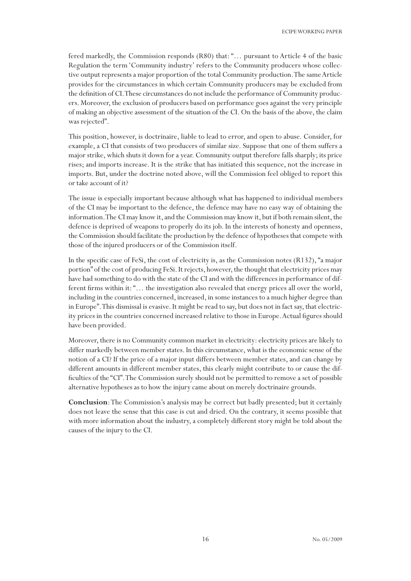fered markedly, the Commission responds (R80) that: "… pursuant to Article 4 of the basic Regulation the term 'Community industry' refers to the Community producers whose collective output represents a major proportion of the total Community production. The same Article provides for the circumstances in which certain Community producers may be excluded from the definition of CI. These circumstances do not include the performance of Community producers. Moreover, the exclusion of producers based on performance goes against the very principle of making an objective assessment of the situation of the CI. On the basis of the above, the claim was rejected".

This position, however, is doctrinaire, liable to lead to error, and open to abuse. Consider, for example, a CI that consists of two producers of similar size. Suppose that one of them suffers a major strike, which shuts it down for a year. Community output therefore falls sharply; its price rises; and imports increase. It is the strike that has initiated this sequence, not the increase in imports. But, under the doctrine noted above, will the Commission feel obliged to report this or take account of it?

The issue is especially important because although what has happened to individual members of the CI may be important to the defence, the defence may have no easy way of obtaining the information. The CI may know it, and the Commission may know it, but if both remain silent, the defence is deprived of weapons to properly do its job. In the interests of honesty and openness, the Commission should facilitate the production by the defence of hypotheses that compete with those of the injured producers or of the Commission itself.

In the specific case of FeSi, the cost of electricity is, as the Commission notes (R132), "a major portion" of the cost of producing FeSi. It rejects, however, the thought that electricity prices may have had something to do with the state of the CI and with the differences in performance of different firms within it: "… the investigation also revealed that energy prices all over the world, including in the countries concerned, increased, in some instances to a much higher degree than in Europe". This dismissal is evasive. It might be read to say, but does not in fact say, that electricity prices in the countries concerned increased relative to those in Europe. Actual figures should have been provided.

Moreover, there is no Community common market in electricity: electricity prices are likely to differ markedly between member states. In this circumstance, what is the economic sense of the notion of a CI? If the price of a major input differs between member states, and can change by different amounts in different member states, this clearly might contribute to or cause the difficulties of the "CI". The Commission surely should not be permitted to remove a set of possible alternative hypotheses as to how the injury came about on merely doctrinaire grounds.

**Conclusion**: The Commission's analysis may be correct but badly presented; but it certainly does not leave the sense that this case is cut and dried. On the contrary, it seems possible that with more information about the industry, a completely different story might be told about the causes of the injury to the CI.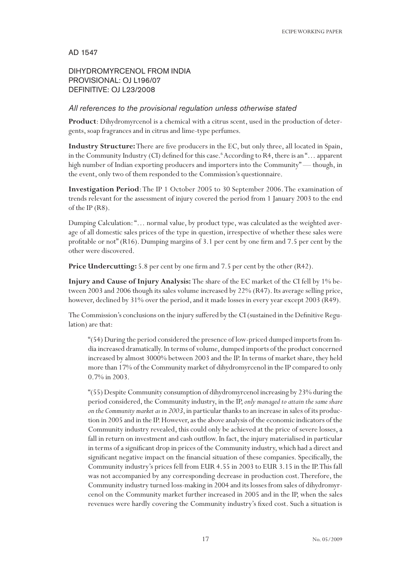# AD 1547

# DIHYDROMYRCENOL FROM INDIA PROVISIONAL: OJ L196/07 DEFINITIVE: OJ L23/2008

# *All references to the provisional regulation unless otherwise stated*

**Product**: Dihydromyrcenol is a chemical with a citrus scent, used in the production of detergents, soap fragrances and in citrus and lime-type perfumes.

**Industry Structure:** There are five producers in the EC, but only three, all located in Spain, in the Community Industry (CI) defined for this case.<sup>6</sup> According to R4, there is an "... apparent high number of Indian exporting producers and importers into the Community" — though, in the event, only two of them responded to the Commission's questionnaire.

**Investigation Period**: The IP 1 October 2005 to 30 September 2006. The examination of trends relevant for the assessment of injury covered the period from 1 January 2003 to the end of the IP (R8).

Dumping Calculation: "… normal value, by product type, was calculated as the weighted average of all domestic sales prices of the type in question, irrespective of whether these sales were profitable or not" (R16). Dumping margins of 3.1 per cent by one firm and 7.5 per cent by the other were discovered.

Price Undercutting: 5.8 per cent by one firm and 7.5 per cent by the other (R42).

**Injury and Cause of Injury Analysis:** The share of the EC market of the CI fell by 1% between 2003 and 2006 though its sales volume increased by 22% (R47). Its average selling price, however, declined by 31% over the period, and it made losses in every year except 2003 (R49).

The Commission's conclusions on the injury suffered by the CI (sustained in the Definitive Regulation) are that:

"(54) During the period considered the presence of low-priced dumped imports from India increased dramatically. In terms of volume, dumped imports of the product concerned increased by almost 3000% between 2003 and the IP. In terms of market share, they held more than 17% of the Community market of dihydromyrcenol in the IP compared to only 0.7% in 2003.

"(55) Despite Community consumption of dihydromyrcenol increasing by 23% during the period considered, the Community industry, in the IP, *only managed to attain the same share on the Community market as in 2003*, in particular thanks to an increase in sales of its production in 2005 and in the IP. However, as the above analysis of the economic indicators of the Community industry revealed, this could only be achieved at the price of severe losses, a fall in return on investment and cash outflow. In fact, the injury materialised in particular in terms of a significant drop in prices of the Community industry, which had a direct and significant negative impact on the financial situation of these companies. Specifically, the Community industry's prices fell from EUR 4.55 in 2003 to EUR 3.15 in the IP. This fall was not accompanied by any corresponding decrease in production cost. Therefore, the Community industry turned loss-making in 2004 and its losses from sales of dihydromyrcenol on the Community market further increased in 2005 and in the IP, when the sales revenues were hardly covering the Community industry's fixed cost. Such a situation is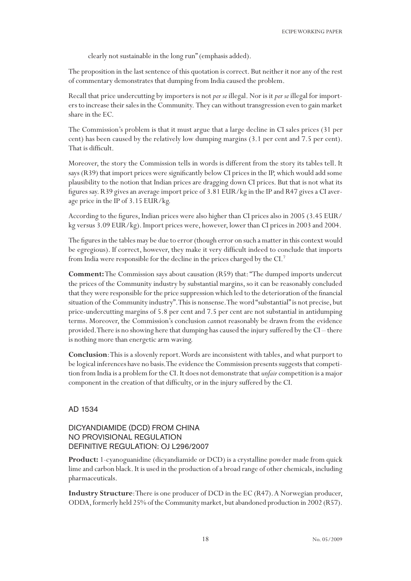clearly not sustainable in the long run" (emphasis added).

The proposition in the last sentence of this quotation is correct. But neither it nor any of the rest of commentary demonstrates that dumping from India caused the problem.

Recall that price undercutting by importers is not *per se* illegal. Nor is it *per se* illegal for importers to increase their sales in the Community. They can without transgression even to gain market share in the EC.

The Commission's problem is that it must argue that a large decline in CI sales prices (31 per cent) has been caused by the relatively low dumping margins (3.1 per cent and 7.5 per cent). That is difficult.

Moreover, the story the Commission tells in words is different from the story its tables tell. It says (R39) that import prices were significantly below CI prices in the IP, which would add some plausibility to the notion that Indian prices are dragging down CI prices. But that is not what its figures say. R39 gives an average import price of 3.81 EUR/kg in the IP and R47 gives a CI average price in the IP of 3.15 EUR/kg.

According to the figures, Indian prices were also higher than CI prices also in 2005 (3.45 EUR/ kg versus 3.09 EUR/kg). Import prices were, however, lower than CI prices in 2003 and 2004.

The figures in the tables may be due to error (though error on such a matter in this context would be egregious). If correct, however, they make it very difficult indeed to conclude that imports from India were responsible for the decline in the prices charged by the CI.7

**Comment:** The Commission says about causation (R59) that: "The dumped imports undercut the prices of the Community industry by substantial margins, so it can be reasonably concluded that they were responsible for the price suppression which led to the deterioration of the financial situation of the Community industry". This is nonsense. The word "substantial" is not precise, but price-undercutting margins of 5.8 per cent and 7.5 per cent are not substantial in antidumping terms. Moreover, the Commission's conclusion *can*not reasonably be drawn from the evidence provided. There is no showing here that dumping has caused the injury suffered by the CI – there is nothing more than energetic arm waving.

**Conclusion**: This is a slovenly report. Words are inconsistent with tables, and what purport to be logical inferences have no basis. The evidence the Commission presents suggests that competition from India is a problem for the CI. It does not demonstrate that *unfair* competition is a major component in the creation of that difficulty, or in the injury suffered by the CI.

AD 1534

# DICYANDIAMIDE (DCD) FROM CHINA NO PROVISIONAL REGULATION DEFINITIVE REGULATION: OJ L296/2007

**Product:** 1-cyanoguanidine (dicyandiamide or DCD) is a crystalline powder made from quick lime and carbon black. It is used in the production of a broad range of other chemicals, including pharmaceuticals.

**Industry Structure**: There is one producer of DCD in the EC (R47). A Norwegian producer, ODDA, formerly held 25% of the Community market, but abandoned production in 2002 (R57).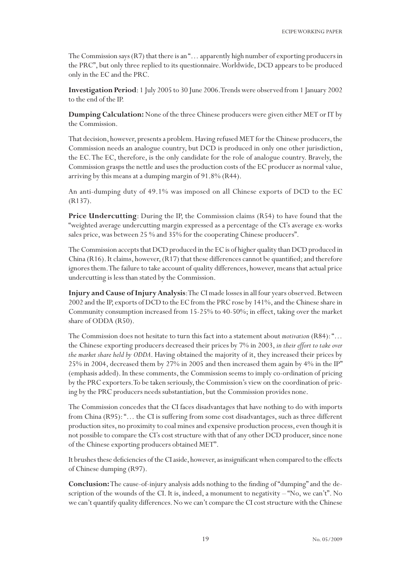The Commission says (R7) that there is an "... apparently high number of exporting producers in the PRC", but only three replied to its questionnaire. Worldwide, DCD appears to be produced only in the EC and the PRC.

**Investigation Period**: 1 July 2005 to 30 June 2006. Trends were observed from 1 January 2002 to the end of the IP.

**Dumping Calculation:** None of the three Chinese producers were given either MET or IT by the Commission.

That decision, however, presents a problem. Having refused MET for the Chinese producers, the Commission needs an analogue country, but DCD is produced in only one other jurisdiction, the EC. The EC, therefore, is the only candidate for the role of analogue country. Bravely, the Commission grasps the nettle and uses the production costs of the EC producer as normal value, arriving by this means at a dumping margin of 91.8% (R44).

An anti-dumping duty of 49.1% was imposed on all Chinese exports of DCD to the EC (R137).

**Price Undercutting**: During the IP, the Commission claims (R54) to have found that the "weighted average undercutting margin expressed as a percentage of the CI's average ex-works sales price, was between 25 % and 35% for the cooperating Chinese producers".

The Commission accepts that DCD produced in the EC is of higher quality than DCD produced in China (R16). It claims, however, (R17) that these differences cannot be quantified; and therefore ignores them. The failure to take account of quality differences, however, means that actual price undercutting is less than stated by the Commission.

**Injury and Cause of Injury Analysis**: The CI made losses in all four years observed. Between 2002 and the IP, exports of DCD to the EC from the PRC rose by 141%, and the Chinese share in Community consumption increased from 15-25% to 40-50%; in effect, taking over the market share of ODDA (R50).

The Commission does not hesitate to turn this fact into a statement about *motivation* (R84): "… the Chinese exporting producers decreased their prices by 7% in 2003, *in their effort to take over the market share held by ODDA*. Having obtained the majority of it, they increased their prices by 25% in 2004, decreased them by 27% in 2005 and then increased them again by 4% in the IP" (emphasis added). In these comments, the Commission seems to imply co-ordination of pricing by the PRC exporters. To be taken seriously, the Commission's view on the coordination of pricing by the PRC producers needs substantiation, but the Commission provides none.

The Commission concedes that the CI faces disadvantages that have nothing to do with imports from China (R95): "… the CI is suffering from some cost disadvantages, such as three different production sites, no proximity to coal mines and expensive production process, even though it is not possible to compare the CI's cost structure with that of any other DCD producer, since none of the Chinese exporting producers obtained MET".

It brushes these deficiencies of the CI aside, however, as insignificant when compared to the effects of Chinese dumping (R97).

**Conclusion:** The cause-of-injury analysis adds nothing to the finding of "dumping" and the description of the wounds of the CI. It is, indeed, a monument to negativity  $-$  "No, we can't". No we can't quantify quality differences. No we can't compare the CI cost structure with the Chinese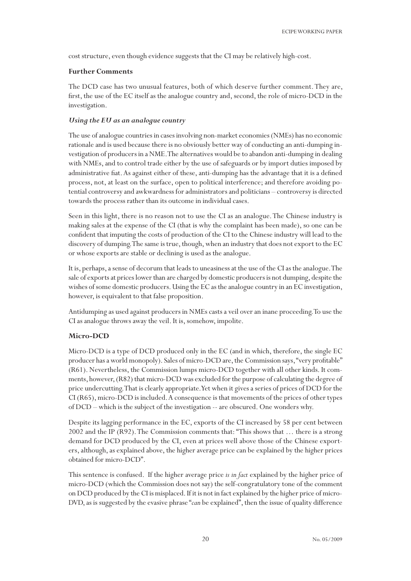cost structure, even though evidence suggests that the CI may be relatively high-cost.

#### **Further Comments**

The DCD case has two unusual features, both of which deserve further comment. They are, first, the use of the EC itself as the analogue country and, second, the role of micro-DCD in the investigation.

## *Using the EU as an analogue country*

The use of analogue countries in cases involving non-market economies (NMEs) has no economic rationale and is used because there is no obviously better way of conducting an anti-dumping investigation of producers in a NME. The alternatives would be to abandon anti-dumping in dealing with NMEs, and to control trade either by the use of safeguards or by import duties imposed by administrative fiat. As against either of these, anti-dumping has the advantage that it is a defined process, not, at least on the surface, open to political interference; and therefore avoiding potential controversy and awkwardness for administrators and politicians – controversy is directed towards the process rather than its outcome in individual cases.

Seen in this light, there is no reason not to use the CI as an analogue. The Chinese industry is making sales at the expense of the CI (that is why the complaint has been made), so one can be confident that imputing the costs of production of the CI to the Chinese industry will lead to the discovery of dumping. The same is true, though, when an industry that does not export to the EC or whose exports are stable or declining is used as the analogue.

It is, perhaps, a sense of decorum that leads to uneasiness at the use of the CI as the analogue. The sale of exports at prices lower than are charged by domestic producers is not dumping, despite the wishes of some domestic producers. Using the EC as the analogue country in an EC investigation, however, is equivalent to that false proposition.

Antidumping as used against producers in NMEs casts a veil over an inane proceeding. To use the CI as analogue throws away the veil. It is, somehow, impolite.

## **Micro-DCD**

Micro-DCD is a type of DCD produced only in the EC (and in which, therefore, the single EC producer has a world monopoly). Sales of micro-DCD are, the Commission says, "very profitable" (R61). Nevertheless, the Commission lumps micro-DCD together with all other kinds. It comments, however, (R82) that micro-DCD was excluded for the purpose of calculating the degree of price undercutting. That is clearly appropriate. Yet when it gives a series of prices of DCD for the CI (R65), micro-DCD is included. A consequence is that movements of the prices of other types of DCD – which is the subject of the investigation -- are obscured. One wonders why.

Despite its lagging performance in the EC, exports of the CI increased by 58 per cent between 2002 and the IP (R92). The Commission comments that: "This shows that … there is a strong demand for DCD produced by the CI, even at prices well above those of the Chinese exporters, although, as explained above, the higher average price can be explained by the higher prices obtained for micro-DCD".

This sentence is confused. If the higher average price *is in fact* explained by the higher price of micro-DCD (which the Commission does not say) the self-congratulatory tone of the comment on DCD produced by the CI is misplaced. If it is not in fact explained by the higher price of micro-DVD, as is suggested by the evasive phrase "*can* be explained", then the issue of quality difference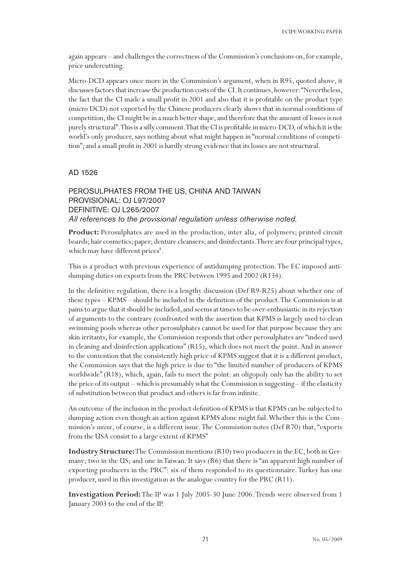again appears – and challenges the correctness of the Commission's conclusions on, for example, price undercutting.

Micro-DCD appears once more in the Commission's argument, when in R95, quoted above, it discusses factors that increase the production costs of the CI. It continues, however: "Nevertheless, the fact that the CI made a small profit in 2001 and also that it is profitable on the product type (micro DCD) not exported by the Chinese producers clearly shows that in normal conditions of competition, the CI might be in a much better shape, and therefore that the amount of losses is not purely structural". This is a silly comment. That the CI is profitable in micro-DCD, of which it is the world's only producer, says nothing about what might happen in "normal conditions of competition"; and a small profit in 2001 is hardly strong evidence that its losses are not structural.

## AD 1526

PEROSULPHATES FROM THE US, CHINA AND TAIWAN PROVISIONAL: OJ L97/2007 DEFINITIVE: OJ L265/2007 *All references to the provisional regulation unless otherwise noted.*

**Product:** Perosulphates are used in the production, inter alia, of polymers; printed circuit boards; hair cosmetics; paper; denture cleansers; and disinfectants. There are four principal types, which may have different prices<sup>8</sup>.

This is a product with previous experience of antidumping protection. The EC imposed antidumping duties on exports from the PRC between 1995 and 2002 (R134).

In the definitive regulation, there is a lengthy discussion (Def R9-R25) about whether one of these types – KPMS – should be included in the definition of the product. The Commission is at pains to argue that it should be included, and seems at times to be over-enthusiastic in its rejection of arguments to the contrary (confronted with the assertion that KPMS is largely used to clean swimming pools whereas other perosulphates cannot be used for that purpose because they are skin irritants, for example, the Commission responds that other perosulphates are "indeed used in cleaning and disinfection applications" (R15), which does not meet the point. And in answer to the contention that the consistently high price of KPMS suggest that it is a different product, the Commission says that the high price is due to "the limited number of producers of KPMS worldwide" (R18), which, again, fails to meet the point: an oligopoly only has the ability to set the price of its output – which is presumably what the Commission is suggesting – if the elasticity of substitution between that product and others is far from infinite.

An outcome of the inclusion in the product definition of KPMS is that KPMS can be subjected to dumping action even though an action against KPMS alone might fail. Whether this is the Commission's *intent*, of course, is a different issue. The Commission notes (Def R70) that, "exports from the USA consist to a large extent of KPMS"

**Industry Structure:** The Commission mentions (R10) two producers in the EC, both in Germany; two in the US; and one in Taiwan. It says (R6) that there is "an apparent high number of exporting producers in the PRC": six of them responded to its questionnaire. Turkey has one producer, used in this investigation as the analogue country for the PRC (R11).

**Investigation Period:** The IP was 1 July 2005-30 June 2006. Trends were observed from 1 January 2003 to the end of the IP.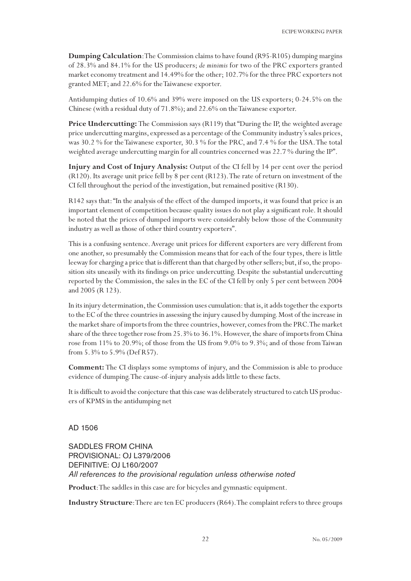**Dumping Calculation**: The Commission claims to have found (R95-R105) dumping margins of 28.3% and 84.1% for the US producers; *de minimis* for two of the PRC exporters granted market economy treatment and 14.49% for the other; 102.7% for the three PRC exporters not granted MET; and 22.6% for the Taiwanese exporter.

Antidumping duties of 10.6% and 39% were imposed on the US exporters; 0-24.5% on the Chinese (with a residual duty of 71.8%); and 22.6% on the Taiwanese exporter.

Price Undercutting: The Commission says (R119) that "During the IP, the weighted average price undercutting margins, expressed as a percentage of the Community industry's sales prices, was 30.2 % for the Taiwanese exporter, 30.3 % for the PRC, and 7.4 % for the USA. The total weighted average undercutting margin for all countries concerned was 22.7 % during the IP".

**Injury and Cost of Injury Analysis:** Output of the CI fell by 14 per cent over the period (R120). Its average unit price fell by 8 per cent (R123). The rate of return on investment of the CI fell throughout the period of the investigation, but remained positive (R130).

R142 says that: "In the analysis of the effect of the dumped imports, it was found that price is an important element of competition because quality issues do not play a significant role. It should be noted that the prices of dumped imports were considerably below those of the Community industry as well as those of other third country exporters".

This is a confusing sentence. Average unit prices for different exporters are very different from one another, so presumably the Commission means that for each of the four types, there is little leeway for charging a price that is different than that charged by other sellers; but, if so, the proposition sits uneasily with its findings on price undercutting. Despite the substantial undercutting reported by the Commission, the sales in the EC of the CI fell by only 5 per cent between 2004 and 2005 (R 123).

In its injury determination, the Commission uses cumulation: that is, it adds together the exports to the EC of the three countries in assessing the injury caused by dumping. Most of the increase in the market share of imports from the three countries, however, comes from the PRC. The market share of the three together rose from 25.3% to 36.1%. However, the share of imports from China rose from 11% to 20.9%; of those from the US from 9.0% to 9.3%; and of those from Taiwan from 5.3% to 5.9% (Def R57).

**Comment:** The CI displays some symptoms of injury, and the Commission is able to produce evidence of dumping. The cause-of-injury analysis adds little to these facts.

It is difficult to avoid the conjecture that this case was deliberately structured to catch US producers of KPMS in the antidumping net

AD 1506

SADDLES FROM CHINA PROVISIONAL: OJ L379/2006 DEFINITIVE: OJ L160/2007 *All references to the provisional regulation unless otherwise noted*

**Product**: The saddles in this case are for bicycles and gymnastic equipment.

**Industry Structure**: There are ten EC producers (R64). The complaint refers to three groups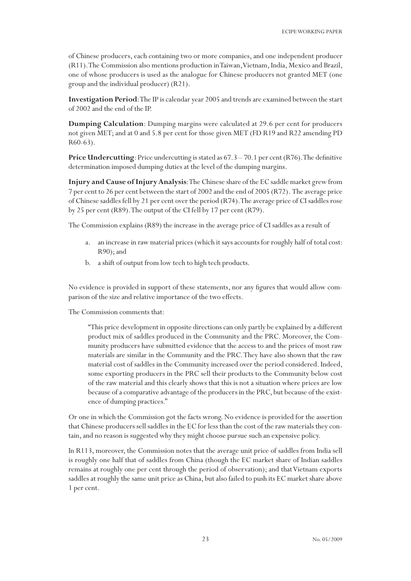of Chinese producers, each containing two or more companies, and one independent producer (R11). The Commission also mentions production in Taiwan, Vietnam, India, Mexico and Brazil, one of whose producers is used as the analogue for Chinese producers not granted MET (one group and the individual producer) (R21).

**Investigation Period**: The IP is calendar year 2005 and trends are examined between the start of 2002 and the end of the IP.

**Dumping Calculation**: Dumping margins were calculated at 29.6 per cent for producers not given MET; and at 0 and 5.8 per cent for those given MET (FD R19 and R22 amending PD R60-63).

**Price Undercutting**: Price undercutting is stated as  $67.3 - 70.1$  per cent (R76). The definitive determination imposed dumping duties at the level of the dumping margins.

**Injury and Cause of Injury Analysis**: The Chinese share of the EC saddle market grew from 7 per cent to 26 per cent between the start of 2002 and the end of 2005 (R72). The average price of Chinese saddles fell by 21 per cent over the period (R74). The average price of CI saddles rose by 25 per cent (R89). The output of the CI fell by 17 per cent (R79).

The Commission explains (R89) the increase in the average price of CI saddles as a result of

- a. an increase in raw material prices (which it says accounts for roughly half of total cost: R90); and
- b. a shift of output from low tech to high tech products.

No evidence is provided in support of these statements, nor any figures that would allow comparison of the size and relative importance of the two effects.

The Commission comments that:

"This price development in opposite directions can only partly be explained by a different product mix of saddles produced in the Community and the PRC. Moreover, the Community producers have submitted evidence that the access to and the prices of most raw materials are similar in the Community and the PRC. They have also shown that the raw material cost of saddles in the Community increased over the period considered. Indeed, some exporting producers in the PRC sell their products to the Community below cost of the raw material and this clearly shows that this is not a situation where prices are low because of a comparative advantage of the producers in the PRC, but because of the existence of dumping practices."

Or one in which the Commission got the facts wrong. No evidence is provided for the assertion that Chinese producers sell saddles in the EC for less than the cost of the raw materials they contain, and no reason is suggested why they might choose pursue such an expensive policy.

In R113, moreover, the Commission notes that the average unit price of saddles from India sell is roughly one half that of saddles from China (though the EC market share of Indian saddles remains at roughly one per cent through the period of observation); and that Vietnam exports saddles at roughly the same unit price as China, but also failed to push its EC market share above 1 per cent.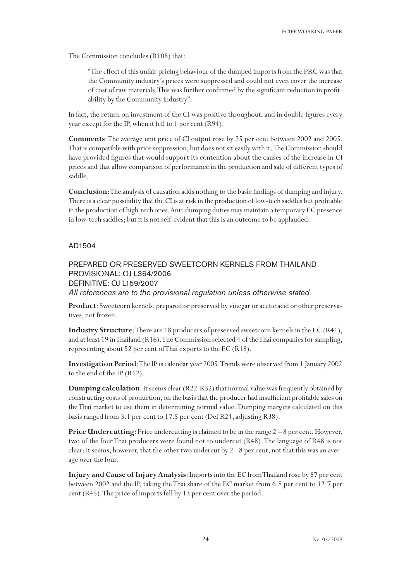The Commission concludes (R108) that:

"The effect of this unfair pricing behaviour of the dumped imports from the PRC was that the Community industry's prices were suppressed and could not even cover the increase of cost of raw materials. This was further confirmed by the significant reduction in profitability by the Community industry".

In fact, the return on investment of the CI was positive throughout, and in double figures every year except for the IP, when it fell to 1 per cent (R94).

**Comments**: The average unit price of CI output rose by 25 per cent between 2002 and 2005. That is compatible with price suppression, but does not sit easily with it. The Commission should have provided figures that would support its contention about the causes of the increase in CI prices and that allow comparison of performance in the production and sale of different types of saddle.

**Conclusion**: The analysis of causation adds nothing to the basic findings of dumping and injury. There is a clear possibility that the CI is at risk in the production of low-tech saddles but profitable in the production of high-tech ones. Anti-dumping duties may maintain a temporary EC presence in low-tech saddles; but it is not self-evident that this is an outcome to be applauded.

## AD1504

# PREPARED OR PRESERVED SWEETCORN KERNELS FROM THAILAND PROVISIONAL: OJ L364/2006 DEFINITIVE: OJ L159/2007

*All references are to the provisional regulation unless otherwise stated*

**Product**: Sweetcorn kernels, prepared or preserved by vinegar or acetic acid or other preservatives, not frozen.

**Industry Structure**: There are 18 producers of preserved sweetcorn kernels in the EC (R41), and at least 19 in Thailand (R16). The Commission selected 4 of the Thai companies for sampling, representing about 52 per cent of Thai exports to the EC (R18).

**Investigation Period**: The IP is calendar year 2005. Trends were observed from 1 January 2002 to the end of the IP (R12).

**Dumping calculation**: It seems clear (R22-R32) that normal value was frequently obtained by constructing costs of production, on the basis that the producer had insufficient profitable sales on the Thai market to use them in determining normal value. Dumping margins calculated on this basis ranged from 3.1 per cent to 17.5 per cent (Def R24, adjusting R38).

**Price Undercutting**: Price undercutting is claimed to be in the range  $2-8$  per cent. However, two of the four Thai producers were found not to undercut (R48). The language of R48 is not clear: it seems, however, that the other two undercut by 2 - 8 per cent, not that this was an average over the four.

**Injury and Cause of Injury Analysis**: Imports into the EC from Thailand rose by 87 per cent between 2002 and the IP, taking the Thai share of the EC market from 6.8 per cent to 12.7 per cent (R45). The price of imports fell by 13 per cent over the period.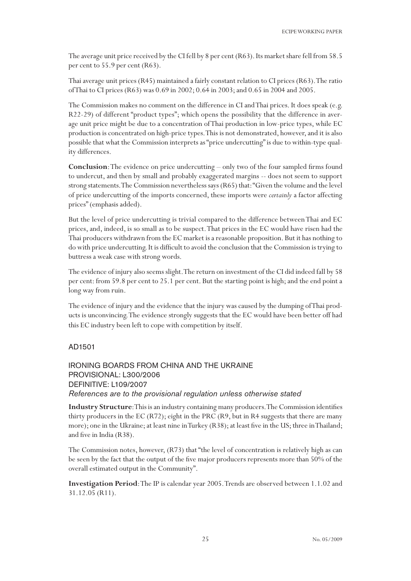The average unit price received by the CI fell by 8 per cent (R63). Its market share fell from 58.5 per cent to 55.9 per cent (R63).

Thai average unit prices (R45) maintained a fairly constant relation to CI prices (R63). The ratio of Thai to CI prices (R63) was 0.69 in 2002; 0.64 in 2003; and 0.65 in 2004 and 2005.

The Commission makes no comment on the difference in CI and Thai prices. It does speak (e.g. R22-29) of different "product types"; which opens the possibility that the difference in average unit price might be due to a concentration of Thai production in low-price types, while EC production is concentrated on high-price types. This is not demonstrated, however, and it is also possible that what the Commission interprets as "price undercutting" is due to within-type quality differences.

**Conclusion**: The evidence on price undercutting – only two of the four sampled firms found to undercut, and then by small and probably exaggerated margins -- does not seem to support strong statements. The Commission nevertheless says (R65) that: "Given the volume and the level of price undercutting of the imports concerned, these imports were *certainly* a factor affecting prices" (emphasis added).

But the level of price undercutting is trivial compared to the difference between Thai and EC prices, and, indeed, is so small as to be suspect. That prices in the EC would have risen had the Thai producers withdrawn from the EC market is a reasonable proposition. But it has nothing to do with price undercutting. It is difficult to avoid the conclusion that the Commission is trying to buttress a weak case with strong words.

The evidence of injury also seems slight. The return on investment of the CI did indeed fall by 58 per cent: from 59.8 per cent to 25.1 per cent. But the starting point is high; and the end point a long way from ruin.

The evidence of injury and the evidence that the injury was caused by the dumping of Thai products is unconvincing. The evidence strongly suggests that the EC would have been better off had this EC industry been left to cope with competition by itself.

## AD1501

# IRONING BOARDS FROM CHINA AND THE UKRAINE PROVISIONAL: L300/2006 DEFINITIVE: L109/2007 *References are to the provisional regulation unless otherwise stated*

**Industry Structure**: This is an industry containing many producers. The Commission identifies thirty producers in the EC (R72); eight in the PRC (R9, but in R4 suggests that there are many more); one in the Ukraine; at least nine in Turkey (R38); at least five in the US; three in Thailand; and five in India (R38).

The Commission notes, however, (R73) that "the level of concentration is relatively high as can be seen by the fact that the output of the five major producers represents more than 50% of the overall estimated output in the Community".

**Investigation Period**: The IP is calendar year 2005. Trends are observed between 1.1.02 and 31.12.05 (R11).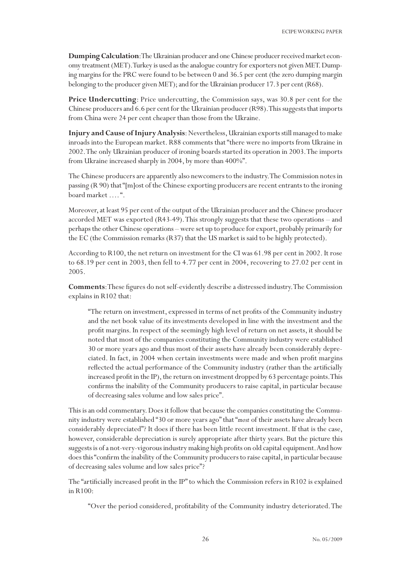**Dumping Calculation**: The Ukrainian producer and one Chinese producer received market economy treatment (MET). Turkey is used as the analogue country for exporters not given MET. Dumping margins for the PRC were found to be between 0 and 36.5 per cent (the zero dumping margin belonging to the producer given MET); and for the Ukrainian producer 17.3 per cent (R68).

**Price Undercutting**: Price undercutting, the Commission says, was 30.8 per cent for the Chinese producers and 6.6 per cent for the Ukrainian producer (R98). This suggests that imports from China were 24 per cent cheaper than those from the Ukraine.

**Injury and Cause of Injury Analysis**: Nevertheless, Ukrainian exports still managed to make inroads into the European market. R88 comments that "there were no imports from Ukraine in 2002. The only Ukrainian producer of ironing boards started its operation in 2003. The imports from Ukraine increased sharply in 2004, by more than 400%".

The Chinese producers are apparently also newcomers to the industry. The Commission notes in passing (R 90) that "[m]ost of the Chinese exporting producers are recent entrants to the ironing board market …. ".

Moreover, at least 95 per cent of the output of the Ukrainian producer and the Chinese producer accorded MET was exported (R43-49). This strongly suggests that these two operations – and perhaps the other Chinese operations – were set up to produce for export, probably primarily for the EC (the Commission remarks (R37) that the US market is said to be highly protected).

According to R100, the net return on investment for the CI was 61.98 per cent in 2002. It rose to 68.19 per cent in 2003, then fell to 4.77 per cent in 2004, recovering to 27.02 per cent in 2005.

**Comments**: These figures do not self-evidently describe a distressed industry. The Commission explains in R102 that:

"The return on investment, expressed in terms of net profits of the Community industry and the net book value of its investments developed in line with the investment and the profit margins. In respect of the seemingly high level of return on net assets, it should be noted that most of the companies constituting the Community industry were established 30 or more years ago and thus most of their assets have already been considerably depreciated. In fact, in 2004 when certain investments were made and when profit margins reflected the actual performance of the Community industry (rather than the artificially increased profit in the IP), the return on investment dropped by 63 percentage points. This confirms the inability of the Community producers to raise capital, in particular because of decreasing sales volume and low sales price".

This is an odd commentary. Does it follow that because the companies constituting the Community industry were established "30 or more years ago" that "*most* of their assets have already been considerably depreciated"? It does if there has been little recent investment. If that is the case, however, considerable depreciation is surely appropriate after thirty years. But the picture this suggests is of a not-very-vigorous industry making high profits on old capital equipment. And how does this "confirm the inability of the Community producers to raise capital, in particular because of decreasing sales volume and low sales price"?

The "artificially increased profit in the IP" to which the Commission refers in R102 is explained in R100:

"Over the period considered, profitability of the Community industry deteriorated. The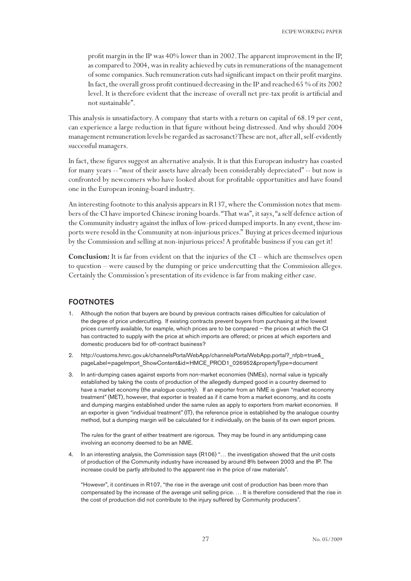profit margin in the IP was 40% lower than in 2002. The apparent improvement in the IP, as compared to 2004, was in reality achieved by cuts in remunerations of the management of some companies. Such remuneration cuts had significant impact on their profit margins. In fact, the overall gross profit continued decreasing in the IP and reached 65 % of its 2002 level. It is therefore evident that the increase of overall net pre-tax profit is artificial and not sustainable".

This analysis is unsatisfactory. A company that starts with a return on capital of 68.19 per cent, can experience a large reduction in that figure without being distressed. And why should 2004 management remuneration levels be regarded as sacrosanct? These are not, after all, self-evidently successful managers.

In fact, these figures suggest an alternative analysis. It is that this European industry has coasted for many years -- "*most* of their assets have already been considerably depreciated" -- but now is confronted by newcomers who have looked about for profitable opportunities and have found one in the European ironing-board industry.

An interesting footnote to this analysis appears in R137, where the Commission notes that members of the CI have imported Chinese ironing boards. "That was", it says, "a self defence action of the Community industry against the influx of low-priced dumped imports. In any event, these imports were resold in the Community at non-injurious prices." Buying at prices deemed injurious by the Commission and selling at non-injurious prices! A profitable business if you can get it!

**Conclusion:** It is far from evident on that the injuries of the CI – which are themselves open to question – were caused by the dumping or price undercutting that the Commission alleges. Certainly the Commission's presentation of its evidence is far from making either case.

#### FOOTNOTES

- Although the notion that buyers are bound by previous contracts raises difficulties for calculation of the degree of price undercutting. If existing contracts prevent buyers from purchasing at the lowest prices currently available, for example, which prices are to be compared – the prices at which the CI has contracted to supply with the price at which imports are offered; or prices at which exporters and domestic producers bid for off-contract business?
- 2. http://customs.hmrc.gov.uk/channelsPortalWebApp/channelsPortalWebApp.portal? nfpb=true& pageLabel=pageImport\_ShowContent&id=HMCE\_PROD1\_026952&propertyType=document
- 3. In anti-dumping cases against exports from non-market economies (NMEs), normal value is typically established by taking the costs of production of the allegedly dumped good in a country deemed to have a market economy (the analogue country). If an exporter from an NME is given "market economy treatment" (MET), however, that exporter is treated as if it came from a market economy, and its costs and dumping margins established under the same rules as apply to exporters from market economies. If an exporter is given "individual treatment" (IT), the reference price is established by the analogue country method, but a dumping margin will be calculated for it individually, on the basis of its own export prices.

The rules for the grant of either treatment are rigorous. They may be found in any antidumping case involving an economy deemed to be an NME.

4. In an interesting analysis, the Commission says (R106) "… the investigation showed that the unit costs of production of the Community industry have increased by around 8% between 2003 and the IP. The increase could be partly attributed to the apparent rise in the price of raw materials".

"However", it continues in R107, "the rise in the average unit cost of production has been more than compensated by the increase of the average unit selling price. … It is therefore considered that the rise in the cost of production did not contribute to the injury suffered by Community producers".